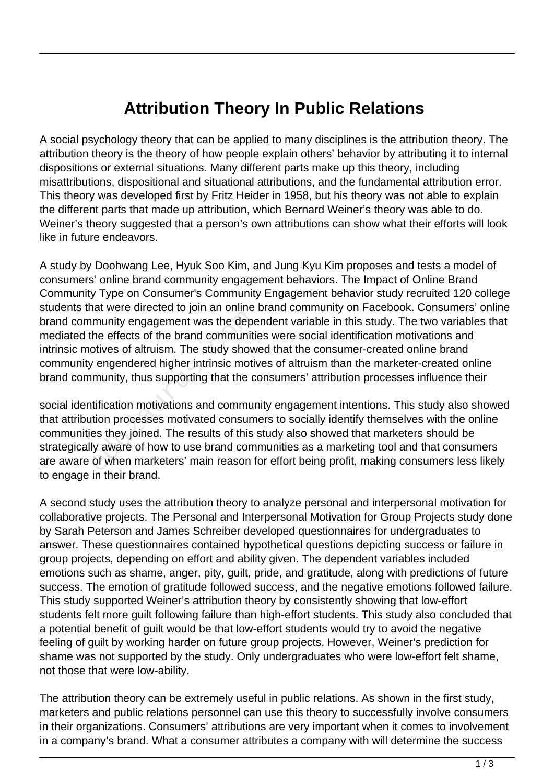## **Attribution Theory In Public Relations**

A social psychology theory that can be applied to many disciplines is the attribution theory. The attribution theory is the theory of how people explain others' behavior by attributing it to internal dispositions or external situations. Many different parts make up this theory, including misattributions, dispositional and situational attributions, and the fundamental attribution error. This theory was developed first by Fritz Heider in 1958, but his theory was not able to explain the different parts that made up attribution, which Bernard Weiner's theory was able to do. Weiner's theory suggested that a person's own attributions can show what their efforts will look like in future endeavors.

A study by Doohwang Lee, Hyuk Soo Kim, and Jung Kyu Kim proposes and tests a model of consumers' online brand community engagement behaviors. The Impact of Online Brand Community Type on Consumer's Community Engagement behavior study recruited 120 college students that were directed to join an online brand community on Facebook. Consumers' online brand community engagement was the dependent variable in this study. The two variables that mediated the effects of the brand communities were social identification motivations and intrinsic motives of altruism. The study showed that the consumer-created online brand community engendered higher intrinsic motives of altruism than the marketer-created online brand community, thus supporting that the consumers' attribution processes influence their

social identification motivations and community engagement intentions. This study also showed that attribution processes motivated consumers to socially identify themselves with the online communities they joined. The results of this study also showed that marketers should be strategically aware of how to use brand communities as a marketing tool and that consumers are aware of when marketers' main reason for effort being profit, making consumers less likely to engage in their brand. munity engagement was the depertunity engagement was the depertunity of altruism. The study show  $\alpha$  engendered higher intrinsic motivary engendered higher intrinsic motivary engendered higher intrinsic motivary entity. T

A second study uses the attribution theory to analyze personal and interpersonal motivation for collaborative projects. The Personal and Interpersonal Motivation for Group Projects study done by Sarah Peterson and James Schreiber developed questionnaires for undergraduates to answer. These questionnaires contained hypothetical questions depicting success or failure in group projects, depending on effort and ability given. The dependent variables included emotions such as shame, anger, pity, guilt, pride, and gratitude, along with predictions of future success. The emotion of gratitude followed success, and the negative emotions followed failure. This study supported Weiner's attribution theory by consistently showing that low-effort students felt more guilt following failure than high-effort students. This study also concluded that a potential benefit of guilt would be that low-effort students would try to avoid the negative feeling of guilt by working harder on future group projects. However, Weiner's prediction for shame was not supported by the study. Only undergraduates who were low-effort felt shame, not those that were low-ability.

The attribution theory can be extremely useful in public relations. As shown in the first study, marketers and public relations personnel can use this theory to successfully involve consumers in their organizations. Consumers' attributions are very important when it comes to involvement in a company's brand. What a consumer attributes a company with will determine the success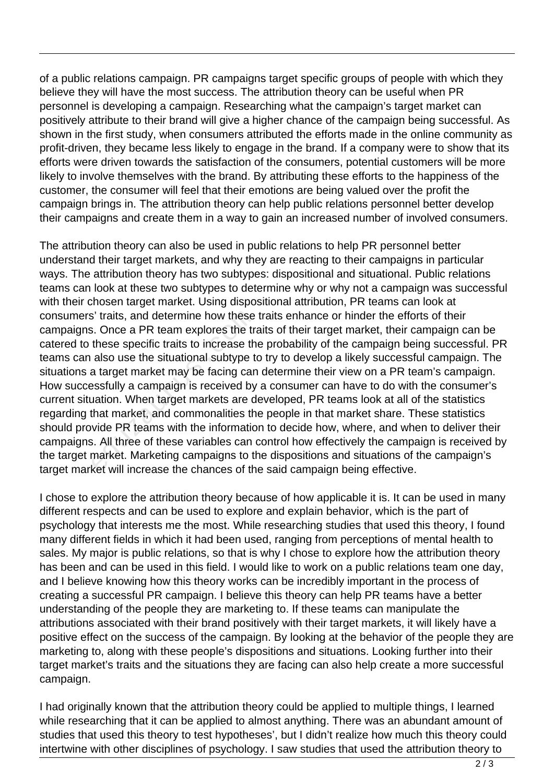of a public relations campaign. PR campaigns target specific groups of people with which they believe they will have the most success. The attribution theory can be useful when PR personnel is developing a campaign. Researching what the campaign's target market can positively attribute to their brand will give a higher chance of the campaign being successful. As shown in the first study, when consumers attributed the efforts made in the online community as profit-driven, they became less likely to engage in the brand. If a company were to show that its efforts were driven towards the satisfaction of the consumers, potential customers will be more likely to involve themselves with the brand. By attributing these efforts to the happiness of the customer, the consumer will feel that their emotions are being valued over the profit the campaign brings in. The attribution theory can help public relations personnel better develop their campaigns and create them in a way to gain an increased number of involved consumers.

The attribution theory can also be used in public relations to help PR personnel better understand their target markets, and why they are reacting to their campaigns in particular ways. The attribution theory has two subtypes: dispositional and situational. Public relations teams can look at these two subtypes to determine why or why not a campaign was successful with their chosen target market. Using dispositional attribution, PR teams can look at consumers' traits, and determine how these traits enhance or hinder the efforts of their campaigns. Once a PR team explores the traits of their target market, their campaign can be catered to these specific traits to increase the probability of the campaign being successful. PR teams can also use the situational subtype to try to develop a likely successful campaign. The situations a target market may be facing can determine their view on a PR team's campaign. How successfully a campaign is received by a consumer can have to do with the consumer's current situation. When target markets are developed, PR teams look at all of the statistics regarding that market, and commonalities the people in that market share. These statistics should provide PR teams with the information to decide how, where, and when to deliver their campaigns. All three of these variables can control how effectively the campaign is received by the target market. Marketing campaigns to the dispositions and situations of the campaign's target market will increase the chances of the said campaign being effective. s' traits, and determine how these<br>s. Once a PR team explores the traces the specific traits to increase the<br>also use the situational subtype to<br>a target market may be facing can<br>essfully a campaign is received by<br>uation.

I chose to explore the attribution theory because of how applicable it is. It can be used in many different respects and can be used to explore and explain behavior, which is the part of psychology that interests me the most. While researching studies that used this theory, I found many different fields in which it had been used, ranging from perceptions of mental health to sales. My major is public relations, so that is why I chose to explore how the attribution theory has been and can be used in this field. I would like to work on a public relations team one day, and I believe knowing how this theory works can be incredibly important in the process of creating a successful PR campaign. I believe this theory can help PR teams have a better understanding of the people they are marketing to. If these teams can manipulate the attributions associated with their brand positively with their target markets, it will likely have a positive effect on the success of the campaign. By looking at the behavior of the people they are marketing to, along with these people's dispositions and situations. Looking further into their target market's traits and the situations they are facing can also help create a more successful campaign.

I had originally known that the attribution theory could be applied to multiple things, I learned while researching that it can be applied to almost anything. There was an abundant amount of studies that used this theory to test hypotheses', but I didn't realize how much this theory could intertwine with other disciplines of psychology. I saw studies that used the attribution theory to